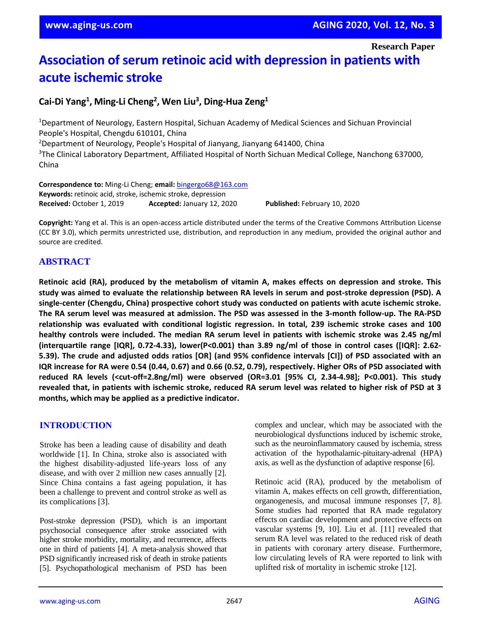**Research Paper**

# **Association of serum retinoic acid with depression in patients with acute ischemic stroke**

# **Cai-Di Yang<sup>1</sup> , Ming-Li Cheng<sup>2</sup> , Wen Liu<sup>3</sup> , Ding-Hua Zeng<sup>1</sup>**

<sup>1</sup>Department of Neurology, Eastern Hospital, Sichuan Academy of Medical Sciences and Sichuan Provincial People's Hospital, Chengdu 610101, China <sup>2</sup>Department of Neurology, People's Hospital of Jianyang, Jianyang 641400, China <sup>3</sup>The Clinical Laboratory Department, Affiliated Hospital of North Sichuan Medical College, Nanchong 637000, China

**Correspondence to:** Ming-Li Cheng; **email:** [bingergo68@163.com](mailto:bingergo68@163.com) **Keywords:** retinoic acid, stroke, ischemic stroke, depression **Received:** October 1, 2019 **Accepted:** January 12, 2020 **Published:** February 10, 2020

**Copyright:** Yang et al. This is an open-access article distributed under the terms of the Creative Commons Attribution License (CC BY 3.0), which permits unrestricted use, distribution, and reproduction in any medium, provided the original author and source are credited.

# **ABSTRACT**

**Retinoic acid (RA), produced by the metabolism of vitamin A, makes effects on depression and stroke. This** study was aimed to evaluate the relationship between RA levels in serum and post-stroke depression (PSD). A **single-center (Chengdu, China) prospective cohort study was conducted on patients with acute ischemic stroke.** The RA serum level was measured at admission. The PSD was assessed in the 3-month follow-up. The RA-PSD **relationship was evaluated with conditional logistic regression. In total, 239 ischemic stroke cases and 100 healthy controls were included. The median RA serum level in patients with ischemic stroke was 2.45 ng/ml (interquartile range [IQR], 0.72-4.33), lower(P<0.001) than 3.89 ng/ml of those in control cases ([IQR]: 2.62-** 5.39). The crude and adjusted odds ratios [OR] (and 95% confidence intervals [CI]) of PSD associated with an IQR increase for RA were 0.54 (0.44, 0.67) and 0.66 (0.52, 0.79), respectively. Higher ORs of PSD associated with **reduced RA levels (<cut-off=2.8ng/ml) were observed (OR=3.01 [95% CI, 2.34-4.98]; P<0.001). This study** revealed that, in patients with ischemic stroke, reduced RA serum level was related to higher risk of PSD at 3 **months, which may be applied as a predictive indicator.**

## **INTRODUCTION**

Stroke has been a leading cause of disability and death worldwide [1]. In China, stroke also is associated with the highest disability-adjusted life-years loss of any disease, and with over 2 million new cases annually [2]. Since China contains a fast ageing population, it has been a challenge to prevent and control stroke as well as its complications [3].

Post-stroke depression (PSD), which is an important psychosocial consequence after stroke associated with higher stroke morbidity, mortality, and recurrence, affects one in third of patients [4]. A meta-analysis showed that PSD significantly increased risk of death in stroke patients [5]. Psychopathological mechanism of PSD has been

complex and unclear, which may be associated with the neurobiological dysfunctions induced by ischemic stroke, such as the neuroinflammatory caused by ischemia, stress activation of the hypothalamic-pituitary-adrenal (HPA) axis, as well as the dysfunction of adaptive response [6].

Retinoic acid (RA), produced by the metabolism of vitamin A, makes effects on cell growth, differentiation, organogenesis, and mucosal immune responses [7, 8]. Some studies had reported that RA made regulatory effects on cardiac development and protective effects on vascular systems [9, 10]. Liu et al. [11] revealed that serum RA level was related to the reduced risk of death in patients with coronary artery disease. Furthermore, low circulating levels of RA were reported to link with uplifted risk of mortality in ischemic stroke [12].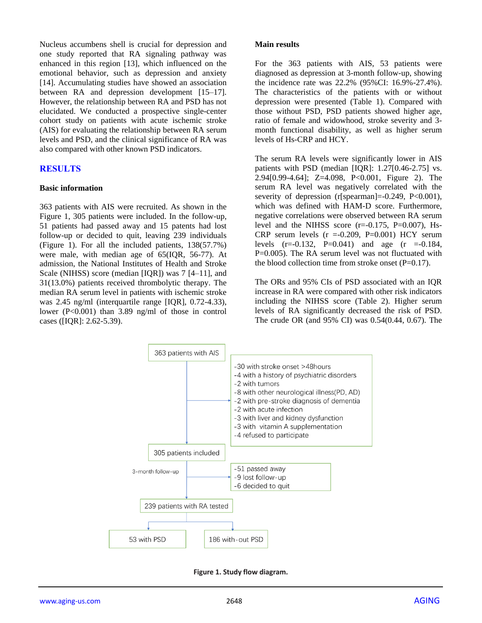Nucleus accumbens shell is crucial for depression and one study reported that RA signaling pathway was enhanced in this region [13], which influenced on the emotional behavior, such as depression and anxiety [14]. Accumulating studies have showed an association between RA and depression development [15–17]. However, the relationship between RA and PSD has not elucidated. We conducted a prospective single-center cohort study on patients with acute ischemic stroke (AIS) for evaluating the relationship between RA serum levels and PSD, and the clinical significance of RA was also compared with other known PSD indicators.

#### **RESULTS**

#### **Basic information**

363 patients with AIS were recruited. As shown in the Figure 1, 305 patients were included. In the follow-up, 51 patients had passed away and 15 patents had lost follow-up or decided to quit, leaving 239 individuals (Figure 1). For all the included patients, 138(57.7%) were male, with median age of 65(IQR, 56-77). At admission, the National Institutes of Health and Stroke Scale (NIHSS) score (median [IQR]) was 7 [4–11], and 31(13.0%) patients received thrombolytic therapy. The median RA serum level in patients with ischemic stroke was 2.45 ng/ml (interquartile range [IQR], 0.72-4.33), lower (P<0.001) than 3.89 ng/ml of those in control cases ([IQR]: 2.62-5.39).

#### **Main results**

For the 363 patients with AIS, 53 patients were diagnosed as depression at 3-month follow-up, showing the incidence rate was 22.2% (95%CI: 16.9%-27.4%). The characteristics of the patients with or without depression were presented (Table 1). Compared with those without PSD, PSD patients showed higher age, ratio of female and widowhood, stroke severity and 3 month functional disability, as well as higher serum levels of Hs-CRP and HCY.

The serum RA levels were significantly lower in AIS patients with PSD (median [IQR]: 1.27[0.46-2.75] vs. 2.94[0.99-4.64]; Z=4.098, P<0.001, Figure 2). The serum RA level was negatively correlated with the severity of depression (r[spearman]=-0.249, P<0.001), which was defined with HAM-D score. Furthermore, negative correlations were observed between RA serum level and the NIHSS score  $(r=0.175, P=0.007)$ , Hs-CRP serum levels  $(r = -0.209, P = 0.001)$  HCY serum levels  $(r=-0.132, P=0.041)$  and age  $(r = -0.184,$ P=0.005). The RA serum level was not fluctuated with the blood collection time from stroke onset  $(P=0.17)$ .

The ORs and 95% CIs of PSD associated with an IQR increase in RA were compared with other risk indicators including the NIHSS score (Table 2). Higher serum levels of RA significantly decreased the risk of PSD. The crude OR (and 95% CI) was 0.54(0.44, 0.67). The



**Figure 1. Study flow diagram.**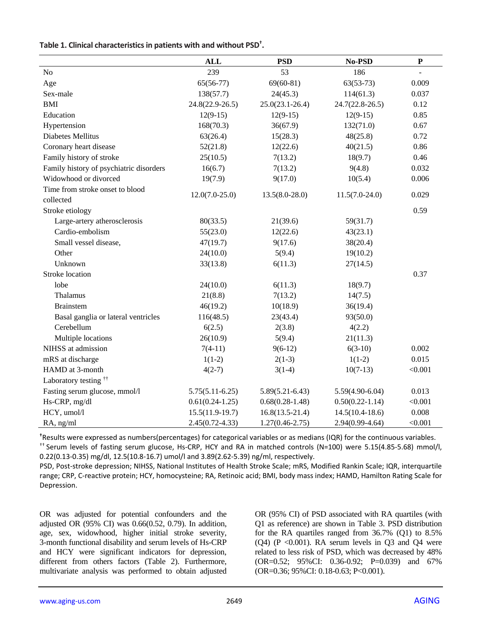|                                              | <b>ALL</b>          | <b>PSD</b>          | No-PSD              | ${\bf P}$ |
|----------------------------------------------|---------------------|---------------------|---------------------|-----------|
| No                                           | 239                 | 53                  | 186                 |           |
| Age                                          | $65(56-77)$         | $69(60-81)$         | $63(53-73)$         | 0.009     |
| Sex-male                                     | 138(57.7)           | 24(45.3)            | 114(61.3)           | 0.037     |
| <b>BMI</b>                                   | $24.8(22.9 - 26.5)$ | $25.0(23.1 - 26.4)$ | $24.7(22.8 - 26.5)$ | 0.12      |
| Education                                    | $12(9-15)$          | $12(9-15)$          | $12(9-15)$          | 0.85      |
| Hypertension                                 | 168(70.3)           | 36(67.9)            | 132(71.0)           | 0.67      |
| Diabetes Mellitus                            | 63(26.4)            | 15(28.3)            | 48(25.8)            | 0.72      |
| Coronary heart disease                       | 52(21.8)            | 12(22.6)            | 40(21.5)            | 0.86      |
| Family history of stroke                     | 25(10.5)            | 7(13.2)             | 18(9.7)             | 0.46      |
| Family history of psychiatric disorders      | 16(6.7)             | 7(13.2)             | 9(4.8)              | 0.032     |
| Widowhood or divorced                        | 19(7.9)             | 9(17.0)             | 10(5.4)             | 0.006     |
| Time from stroke onset to blood<br>collected | $12.0(7.0-25.0)$    | $13.5(8.0-28.0)$    | $11.5(7.0-24.0)$    | 0.029     |
| Stroke etiology                              |                     |                     |                     | 0.59      |
| Large-artery atherosclerosis                 | 80(33.5)            | 21(39.6)            |                     |           |
| Cardio-embolism                              |                     |                     | 59(31.7)            |           |
|                                              | 55(23.0)            | 12(22.6)            | 43(23.1)            |           |
| Small vessel disease,                        | 47(19.7)            | 9(17.6)             | 38(20.4)            |           |
| Other                                        | 24(10.0)            | 5(9.4)              | 19(10.2)            |           |
| Unknown                                      | 33(13.8)            | 6(11.3)             | 27(14.5)            |           |
| <b>Stroke</b> location                       |                     |                     |                     | 0.37      |
| lobe                                         | 24(10.0)            | 6(11.3)             | 18(9.7)             |           |
| Thalamus                                     | 21(8.8)             | 7(13.2)             | 14(7.5)             |           |
| <b>Brainstem</b>                             | 46(19.2)            | 10(18.9)            | 36(19.4)            |           |
| Basal ganglia or lateral ventricles          | 116(48.5)           | 23(43.4)            | 93(50.0)            |           |
| Cerebellum                                   | 6(2.5)              | 2(3.8)              | 4(2.2)              |           |
| Multiple locations                           | 26(10.9)            | 5(9.4)              | 21(11.3)            |           |
| NIHSS at admission                           | $7(4-11)$           | $9(6-12)$           | $6(3-10)$           | 0.002     |
| mRS at discharge                             | $1(1-2)$            | $2(1-3)$            | $1(1-2)$            | 0.015     |
| HAMD at 3-month                              | $4(2-7)$            | $3(1-4)$            | $10(7-13)$          | < 0.001   |
| Laboratory testing <sup>††</sup>             |                     |                     |                     |           |
| Fasting serum glucose, mmol/l                | $5.75(5.11-6.25)$   | $5.89(5.21 - 6.43)$ | $5.59(4.90-6.04)$   | 0.013     |
| Hs-CRP, mg/dl                                | $0.61(0.24-1.25)$   | $0.68(0.28-1.48)$   | $0.50(0.22 - 1.14)$ | < 0.001   |
| HCY, umol/l                                  | $15.5(11.9-19.7)$   | $16.8(13.5-21.4)$   | $14.5(10.4-18.6)$   | 0.008     |
| RA, ng/ml                                    | $2.45(0.72 - 4.33)$ | $1.27(0.46 - 2.75)$ | $2.94(0.99-4.64)$   | < 0.001   |

**†**Results were expressed as numbers(percentages) for categorical variables or as medians (IQR) for the continuous variables. †† Serum levels of fasting serum glucose, Hs-CRP, HCY and RA in matched controls (N=100) were 5.15(4.85-5.68) mmol/l, 0.22(0.13-0.35) mg/dl, 12.5(10.8-16.7) umol/l and 3.89(2.62-5.39) ng/ml, respectively.

PSD, Post-stroke depression; NIHSS, National Institutes of Health Stroke Scale; mRS, Modified Rankin Scale; IQR, interquartile range; CRP, C-reactive protein; HCY, homocysteine; RA, Retinoic acid; BMI, body mass index; HAMD, Hamilton Rating Scale for Depression.

OR was adjusted for potential confounders and the adjusted OR (95% CI) was 0.66(0.52, 0.79). In addition, age, sex, widowhood, higher initial stroke severity, 3-month functional disability and serum levels of Hs-CRP and HCY were significant indicators for depression, different from others factors (Table 2). Furthermore, multivariate analysis was performed to obtain adjusted OR (95% CI) of PSD associated with RA quartiles (with Q1 as reference) are shown in Table 3. PSD distribution for the RA quartiles ranged from 36.7% (Q1) to 8.5%  $(Q4)$  (P < 0.001). RA serum levels in Q3 and Q4 were related to less risk of PSD, which was decreased by 48% (OR=0.52; 95%CI: 0.36-0.92; P=0.039) and 67% (OR=0.36; 95%CI: 0.18-0.63; P<0.001).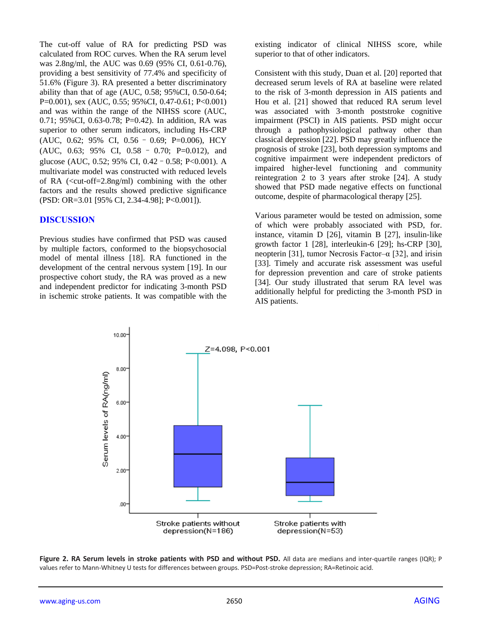The cut-off value of RA for predicting PSD was calculated from ROC curves. When the RA serum level was 2.8ng/ml, the AUC was 0.69 (95% CI, 0.61-0.76), providing a best sensitivity of 77.4% and specificity of 51.6% (Figure 3). RA presented a better discriminatory ability than that of age (AUC, 0.58; 95%CI, 0.50-0.64; P=0.001), sex (AUC, 0.55; 95%CI, 0.47-0.61; P<0.001) and was within the range of the NIHSS score (AUC, 0.71; 95%CI, 0.63-0.78; P=0.42). In addition, RA was superior to other serum indicators, including Hs-CRP (AUC, 0.62; 95% CI, 0.56 – 0.69; P=0.006), HCY (AUC, 0.63; 95% CI, 0.58 – 0.70; P=0.012), and glucose (AUC, 0.52; 95% CI, 0.42–0.58; P<0.001). A multivariate model was constructed with reduced levels of RA (<cut-off=2.8ng/ml) combining with the other factors and the results showed predictive significance (PSD: OR=3.01 [95% CI, 2.34-4.98]; P<0.001]).

#### **DISCUSSION**

Previous studies have confirmed that PSD was caused by multiple factors, conformed to the biopsychosocial model of mental illness [18]. RA functioned in the development of the central nervous system [19]. In our prospective cohort study, the RA was proved as a new and independent predictor for indicating 3-month PSD in ischemic stroke patients. It was compatible with the existing indicator of clinical NIHSS score, while superior to that of other indicators.

Consistent with this study, Duan et al. [20] reported that decreased serum levels of RA at baseline were related to the risk of 3-month depression in AIS patients and Hou et al. [21] showed that reduced RA serum level was associated with 3-month poststroke cognitive impairment (PSCI) in AIS patients. PSD might occur through a pathophysiological pathway other than classical depression [22]. PSD may greatly influence the prognosis of stroke [23], both depression symptoms and cognitive impairment were independent predictors of impaired higher-level functioning and community reintegration 2 to 3 years after stroke [24]. A study showed that PSD made negative effects on functional outcome, despite of pharmacological therapy [25].

Various parameter would be tested on admission, some of which were probably associated with PSD, for. instance, vitamin D [26], vitamin B [27], insulin‐like growth factor 1 [28], interleukin-6 [29]; hs-CRP [30], neopterin [31], tumor Necrosis Factor– $\alpha$  [32], and irisin [33]. Timely and accurate risk assessment was useful for depression prevention and care of stroke patients [34]. Our study illustrated that serum RA level was additionally helpful for predicting the 3-month PSD in AIS patients.



**Figure 2. RA Serum levels in stroke patients with PSD and without PSD.** All data are medians and inter-quartile ranges (IQR); P values refer to Mann-Whitney U tests for differences between groups. PSD=Post-stroke depression; RA=Retinoic acid.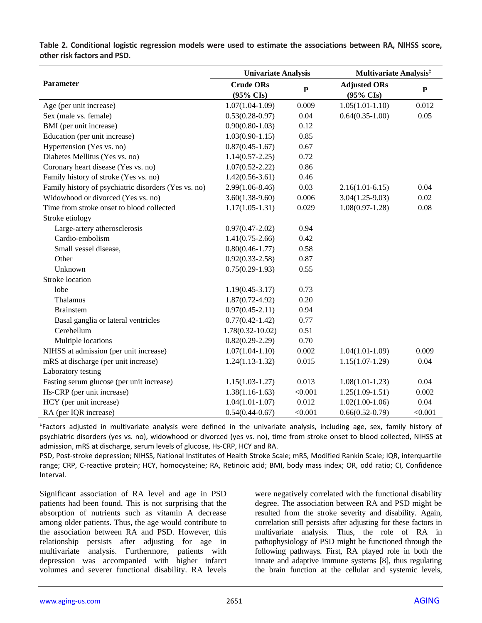|                                                      | <b>Univariate Analysis</b>    |           | <b>Multivariate Analysis</b> <sup>‡</sup> |           |
|------------------------------------------------------|-------------------------------|-----------|-------------------------------------------|-----------|
| Parameter                                            | <b>Crude ORs</b><br>(95% CIs) | ${\bf P}$ | <b>Adjusted ORs</b><br>(95% CIs)          | ${\bf P}$ |
| Age (per unit increase)                              | $1.07(1.04-1.09)$             | 0.009     | $1.05(1.01-1.10)$                         | 0.012     |
| Sex (male vs. female)                                | $0.53(0.28-0.97)$             | 0.04      | $0.64(0.35-1.00)$                         | 0.05      |
| BMI (per unit increase)                              | $0.90(0.80 - 1.03)$           | 0.12      |                                           |           |
| Education (per unit increase)                        | $1.03(0.90 - 1.15)$           | 0.85      |                                           |           |
| Hypertension (Yes vs. no)                            | $0.87(0.45 - 1.67)$           | 0.67      |                                           |           |
| Diabetes Mellitus (Yes vs. no)                       | $1.14(0.57 - 2.25)$           | 0.72      |                                           |           |
| Coronary heart disease (Yes vs. no)                  | $1.07(0.52 - 2.22)$           | 0.86      |                                           |           |
| Family history of stroke (Yes vs. no)                | $1.42(0.56-3.61)$             | 0.46      |                                           |           |
| Family history of psychiatric disorders (Yes vs. no) | $2.99(1.06 - 8.46)$           | 0.03      | $2.16(1.01-6.15)$                         | 0.04      |
| Widowhood or divorced (Yes vs. no)                   | $3.60(1.38-9.60)$             | 0.006     | $3.04(1.25-9.03)$                         | 0.02      |
| Time from stroke onset to blood collected            | $1.17(1.05-1.31)$             | 0.029     | $1.08(0.97-1.28)$                         | 0.08      |
| Stroke etiology                                      |                               |           |                                           |           |
| Large-artery atherosclerosis                         | $0.97(0.47 - 2.02)$           | 0.94      |                                           |           |
| Cardio-embolism                                      | $1.41(0.75-2.66)$             | 0.42      |                                           |           |
| Small vessel disease,                                | $0.80(0.46 - 1.77)$           | 0.58      |                                           |           |
| Other                                                | $0.92(0.33 - 2.58)$           | 0.87      |                                           |           |
| Unknown                                              | $0.75(0.29-1.93)$             | 0.55      |                                           |           |
| Stroke location                                      |                               |           |                                           |           |
| lobe                                                 | $1.19(0.45 - 3.17)$           | 0.73      |                                           |           |
| Thalamus                                             | $1.87(0.72 - 4.92)$           | 0.20      |                                           |           |
| <b>Brainstem</b>                                     | $0.97(0.45 - 2.11)$           | 0.94      |                                           |           |
| Basal ganglia or lateral ventricles                  | $0.77(0.42 - 1.42)$           | 0.77      |                                           |           |
| Cerebellum                                           | $1.78(0.32 - 10.02)$          | 0.51      |                                           |           |
| Multiple locations                                   | $0.82(0.29-2.29)$             | 0.70      |                                           |           |
| NIHSS at admission (per unit increase)               | $1.07(1.04-1.10)$             | 0.002     | $1.04(1.01-1.09)$                         | 0.009     |
| mRS at discharge (per unit increase)                 | $1.24(1.13-1.32)$             | 0.015     | $1.15(1.07-1.29)$                         | 0.04      |
| Laboratory testing                                   |                               |           |                                           |           |
| Fasting serum glucose (per unit increase)            | $1.15(1.03-1.27)$             | 0.013     | $1.08(1.01-1.23)$                         | 0.04      |
| Hs-CRP (per unit increase)                           | $1.38(1.16-1.63)$             | < 0.001   | $1.25(1.09-1.51)$                         | 0.002     |
| HCY (per unit increase)                              | $1.04(1.01-1.07)$             | 0.012     | $1.02(1.00-1.06)$                         | 0.04      |
| RA (per IQR increase)                                | $0.54(0.44 - 0.67)$           | < 0.001   | $0.66(0.52 - 0.79)$                       | < 0.001   |

**Table 2. Conditional logistic regression models were used to estimate the associations between RA, NIHSS score, other risk factors and PSD.**

‡ Factors adjusted in multivariate analysis were defined in the univariate analysis, including age, sex, family history of psychiatric disorders (yes vs. no), widowhood or divorced (yes vs. no), time from stroke onset to blood collected, NIHSS at admission, mRS at discharge, serum levels of glucose, Hs-CRP, HCY and RA.

PSD, Post-stroke depression; NIHSS, National Institutes of Health Stroke Scale; mRS, Modified Rankin Scale; IQR, interquartile range; CRP, C-reactive protein; HCY, homocysteine; RA, Retinoic acid; BMI, body mass index; OR, odd ratio; CI, Confidence Interval.

Significant association of RA level and age in PSD patients had been found. This is not surprising that the absorption of nutrients such as vitamin A decrease among older patients. Thus, the age would contribute to the association between RA and PSD. However, this relationship persists after adjusting for age in multivariate analysis. Furthermore, patients with depression was accompanied with higher infarct volumes and severer functional disability. RA levels were negatively correlated with the functional disability degree. The association between RA and PSD might be resulted from the stroke severity and disability. Again, correlation still persists after adjusting for these factors in multivariate analysis. Thus, the role of RA in pathophysiology of PSD might be functioned through the following pathways. First, RA played role in both the innate and adaptive immune systems [8], thus regulating the brain function at the cellular and systemic levels,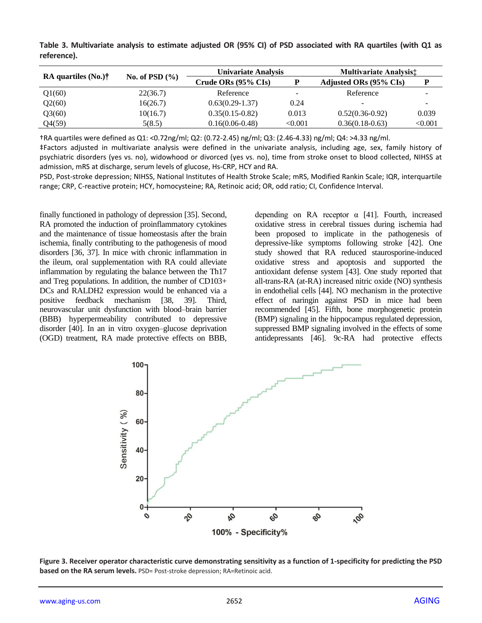**Table 3. Multivariate analysis to estimate adjusted OR (95% CI) of PSD associated with RA quartiles (with Q1 as reference).**

| RA quartiles $(N_0)$ <sup>†</sup> | No. of PSD $(\% )$ | <b>Univariate Analysis</b>     |         | <b>Multivariate Analysist</b> |         |
|-----------------------------------|--------------------|--------------------------------|---------|-------------------------------|---------|
|                                   |                    | Crude ORs $(95\% \text{ Cls})$ | Р       | Adjusted ORs (95% CIs)        | P       |
| Q1(60)                            | 22(36.7)           | Reference                      | -       | Reference                     |         |
| Q2(60)                            | 16(26.7)           | $0.63(0.29-1.37)$              | 0.24    |                               |         |
| Q3(60)                            | 10(16.7)           | $0.35(0.15-0.82)$              | 0.013   | $0.52(0.36-0.92)$             | 0.039   |
| Q4(59)                            | 5(8.5)             | $0.16(0.06-0.48)$              | < 0.001 | $0.36(0.18-0.63)$             | < 0.001 |

†RA quartiles were defined as Q1: <0.72ng/ml; Q2: (0.72-2.45) ng/ml; Q3: (2.46-4.33) ng/ml; Q4: >4.33 ng/ml.

‡Factors adjusted in multivariate analysis were defined in the univariate analysis, including age, sex, family history of psychiatric disorders (yes vs. no), widowhood or divorced (yes vs. no), time from stroke onset to blood collected, NIHSS at admission, mRS at discharge, serum levels of glucose, Hs-CRP, HCY and RA.

PSD, Post-stroke depression; NIHSS, National Institutes of Health Stroke Scale; mRS, Modified Rankin Scale; IQR, interquartile range; CRP, C-reactive protein; HCY, homocysteine; RA, Retinoic acid; OR, odd ratio; CI, Confidence Interval.

finally functioned in pathology of depression [35]. Second, RA promoted the induction of proinflammatory cytokines and the maintenance of tissue homeostasis after the brain ischemia, finally contributing to the pathogenesis of mood disorders [36, 37]. In mice with chronic inflammation in the ileum, oral supplementation with RA could alleviate inflammation by regulating the balance between the Th17 and Treg populations. In addition, the number of CD103+ DCs and RALDH2 expression would be enhanced via a positive feedback mechanism [38, 39]. Third, neurovascular unit dysfunction with blood–brain barrier (BBB) hyperpermeability contributed to depressive disorder [40]. In an in vitro oxygen–glucose deprivation (OGD) treatment, RA made protective effects on BBB,

depending on RA receptor  $\alpha$  [41]. Fourth, increased oxidative stress in cerebral tissues during ischemia had been proposed to implicate in the pathogenesis of depressive-like symptoms following stroke [42]. One study showed that RA reduced staurosporine-induced oxidative stress and apoptosis and supported the antioxidant defense system [43]. One study reported that all-trans-RA (at-RA) increased nitric oxide (NO) synthesis in endothelial cells [44]. NO mechanism in the protective effect of naringin against PSD in mice had been recommended [45]. Fifth, bone morphogenetic protein (BMP) signaling in the hippocampus regulated depression, suppressed BMP signaling involved in the effects of some antidepressants [46]. 9c-RA had protective effects



**Figure 3. Receiver operator characteristic curve demonstrating sensitivity as a function of 1-specificity for predicting the PSD based on the RA serum levels.** PSD= Post-stroke depression; RA=Retinoic acid.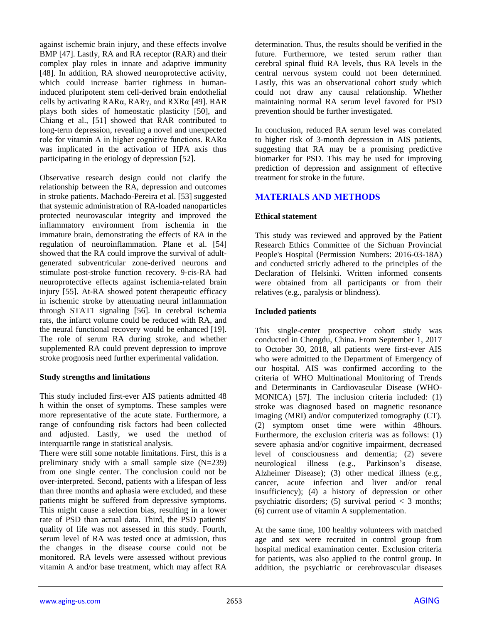against ischemic brain injury, and these effects involve BMP [47]. Lastly, RA and RA receptor (RAR) and their complex play roles in innate and adaptive immunity [48]. In addition, RA showed neuroprotective activity, which could increase barrier tightness in humaninduced pluripotent stem cell-derived brain endothelial cells by activating RARα, RARγ, and RXRα [49]. RAR plays both sides of homeostatic plasticity [50], and Chiang et al., [51] showed that RAR contributed to long-term depression, revealing a novel and unexpected role for vitamin A in higher cognitive functions. RARα was implicated in the activation of HPA axis thus participating in the etiology of depression [52].

Observative research design could not clarify the relationship between the RA, depression and outcomes in stroke patients. Machado-Pereira et al. [53] suggested that systemic administration of RA-loaded nanoparticles protected neurovascular integrity and improved the inflammatory environment from ischemia in the immature brain, demonstrating the effects of RA in the regulation of neuroinflammation. Plane et al. [54] showed that the RA could improve the survival of adultgenerated subventricular zone-derived neurons and stimulate post-stroke function recovery. 9-cis-RA had neuroprotective effects against ischemia-related brain injury [55]. At-RA showed potent therapeutic efficacy in ischemic stroke by attenuating neural inflammation through STAT1 signaling [56]. In cerebral ischemia rats, the infarct volume could be reduced with RA, and the neural functional recovery would be enhanced [19]. The role of serum RA during stroke, and whether supplemented RA could prevent depression to improve stroke prognosis need further experimental validation.

#### **Study strengths and limitations**

This study included first-ever AIS patients admitted 48 h within the onset of symptoms. These samples were more representative of the acute state. Furthermore, a range of confounding risk factors had been collected and adjusted. Lastly, we used the method of interquartile range in statistical analysis.

There were still some notable limitations. First, this is a preliminary study with a small sample size (N=239) from one single center. The conclusion could not be over-interpreted. Second, patients with a lifespan of less than three months and aphasia were excluded, and these patients might be suffered from depressive symptoms. This might cause a selection bias, resulting in a lower rate of PSD than actual data. Third, the PSD patients' quality of life was not assessed in this study. Fourth, serum level of RA was tested once at admission, thus the changes in the disease course could not be monitored. RA levels were assessed without previous vitamin A and/or base treatment, which may affect RA

determination. Thus, the results should be verified in the future. Furthermore, we tested serum rather than cerebral spinal fluid RA levels, thus RA levels in the central nervous system could not been determined. Lastly, this was an observational cohort study which could not draw any causal relationship. Whether maintaining normal RA serum level favored for PSD prevention should be further investigated.

In conclusion, reduced RA serum level was correlated to higher risk of 3-month depression in AIS patients, suggesting that RA may be a promising predictive biomarker for PSD. This may be used for improving prediction of depression and assignment of effective treatment for stroke in the future.

# **MATERIALS AND METHODS**

## **Ethical statement**

This study was reviewed and approved by the Patient Research Ethics Committee of the Sichuan Provincial People's Hospital (Permission Numbers: 2016-03-18A) and conducted strictly adhered to the principles of the Declaration of Helsinki. Written informed consents were obtained from all participants or from their relatives (e.g., paralysis or blindness).

## **Included patients**

This single-center prospective cohort study was conducted in Chengdu, China. From September 1, 2017 to October 30, 2018, all patients were first-ever AIS who were admitted to the Department of Emergency of our hospital. AIS was confirmed according to the criteria of WHO Multinational Monitoring of Trends and Determinants in Cardiovascular Disease (WHO-MONICA) [57]. The inclusion criteria included: (1) stroke was diagnosed based on magnetic resonance imaging (MRI) and/or computerized tomography (CT). (2) symptom onset time were within 48hours. Furthermore, the exclusion criteria was as follows: (1) severe aphasia and/or cognitive impairment, decreased level of consciousness and dementia; (2) severe neurological illness (e.g., Parkinson's disease, Alzheimer Disease); (3) other medical illness (e.g., cancer, acute infection and liver and/or renal insufficiency); (4) a history of depression or other psychiatric disorders; (5) survival period  $\lt$  3 months; (6) current use of vitamin A supplementation.

At the same time, 100 healthy volunteers with matched age and sex were recruited in control group from hospital medical examination center. Exclusion criteria for patients, was also applied to the control group. In addition, the psychiatric or cerebrovascular diseases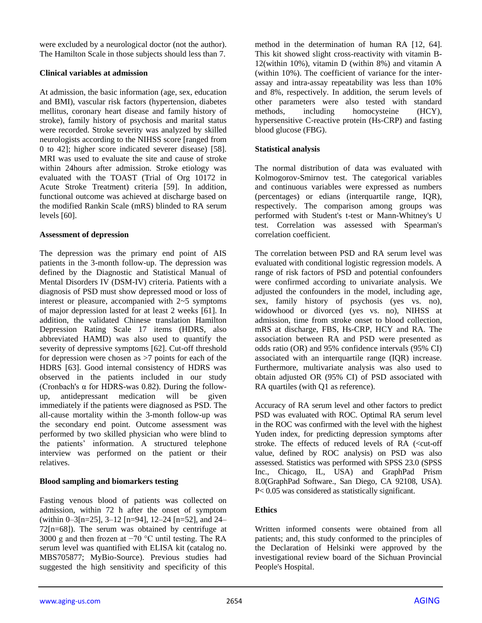were excluded by a neurological doctor (not the author). The Hamilton Scale in those subjects should less than 7.

#### **Clinical variables at admission**

At admission, the basic information (age, sex, education and BMI), vascular risk factors (hypertension, diabetes mellitus, coronary heart disease and family history of stroke), family history of psychosis and marital status were recorded. Stroke severity was analyzed by skilled neurologists according to the NIHSS score [ranged from 0 to 42]; higher score indicated severer disease) [58]. MRI was used to evaluate the site and cause of stroke within 24hours after admission. Stroke etiology was evaluated with the TOAST (Trial of Org 10172 in Acute Stroke Treatment) criteria [59]. In addition, functional outcome was achieved at discharge based on the modified Rankin Scale (mRS) blinded to RA serum levels [60].

#### **Assessment of depression**

The depression was the primary end point of AIS patients in the 3-month follow-up. The depression was defined by the Diagnostic and Statistical Manual of Mental Disorders IV (DSM-IV) criteria. Patients with a diagnosis of PSD must show depressed mood or loss of interest or pleasure, accompanied with 2~5 symptoms of major depression lasted for at least 2 weeks [61]. In addition, the validated Chinese translation Hamilton Depression Rating Scale 17 items (HDRS, also abbreviated HAMD) was also used to quantify the severity of depressive symptoms [62]. Cut-off threshold for depression were chosen as >7 points for each of the HDRS [63]. Good internal consistency of HDRS was observed in the patients included in our study (Cronbach's  $\alpha$  for HDRS-was 0.82). During the followup, antidepressant medication will be given immediately if the patients were diagnosed as PSD. The all-cause mortality within the 3-month follow-up was the secondary end point. Outcome assessment was performed by two skilled physician who were blind to the patients' information. A structured telephone interview was performed on the patient or their relatives.

## **Blood sampling and biomarkers testing**

Fasting venous blood of patients was collected on admission, within 72 h after the onset of symptom (within 0–3[n=25], 3–12 [n=94], 12–24 [n=52], and 24– 72[n=68]). The serum was obtained by centrifuge at 3000 g and then frozen at −70 °C until testing. The RA serum level was quantified with ELISA kit (catalog no. MBS705877; MyBio-Source). Previous studies had suggested the high sensitivity and specificity of this

method in the determination of human RA [12, 64]. This kit showed slight cross-reactivity with vitamin B-12(within 10%), vitamin D (within 8%) and vitamin A (within 10%). The coefficient of variance for the interassay and intra-assay repeatability was less than 10% and 8%, respectively. In addition, the serum levels of other parameters were also tested with standard methods, including homocysteine (HCY), hypersensitive C-reactive protein (Hs-CRP) and fasting blood glucose (FBG).

#### **Statistical analysis**

The normal distribution of data was evaluated with Kolmogorov-Smirnov test. The categorical variables and continuous variables were expressed as numbers (percentages) or edians (interquartile range, IQR), respectively. The comparison among groups was performed with Student's t-test or Mann-Whitney's U test. Correlation was assessed with Spearman's correlation coefficient.

The correlation between PSD and RA serum level was evaluated with conditional logistic regression models. A range of risk factors of PSD and potential confounders were confirmed according to univariate analysis. We adjusted the confounders in the model, including age, sex, family history of psychosis (yes vs. no), widowhood or divorced (yes vs. no), NIHSS at admission, time from stroke onset to blood collection, mRS at discharge, FBS, Hs-CRP, HCY and RA. The association between RA and PSD were presented as odds ratio (OR) and 95% confidence intervals (95% CI) associated with an interquartile range (IQR) increase. Furthermore, multivariate analysis was also used to obtain adjusted OR (95% CI) of PSD associated with RA quartiles (with Q1 as reference).

Accuracy of RA serum level and other factors to predict PSD was evaluated with ROC. Optimal RA serum level in the ROC was confirmed with the level with the highest Yuden index, for predicting depression symptoms after stroke. The effects of reduced levels of RA (<cut-off value, defined by ROC analysis) on PSD was also assessed. Statistics was performed with SPSS 23.0 (SPSS Inc., Chicago, IL, USA) and GraphPad Prism 8.0(GraphPad Software., San Diego, CA 92108, USA). P< 0.05 was considered as statistically significant.

## **Ethics**

Written informed consents were obtained from all patients; and, this study conformed to the principles of the Declaration of Helsinki were approved by the investigational review board of the Sichuan Provincial People's Hospital.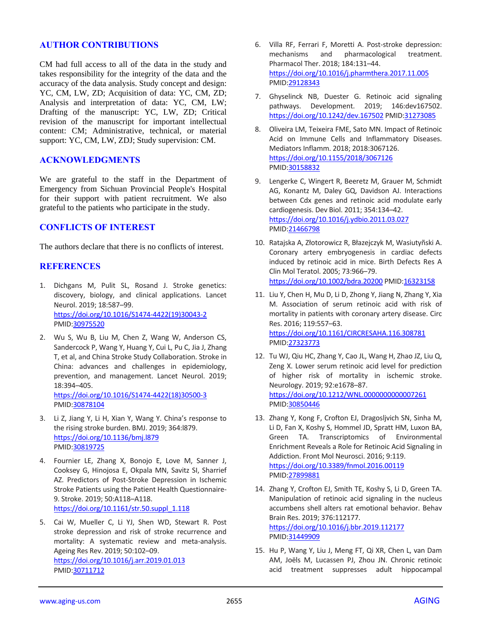## **AUTHOR CONTRIBUTIONS**

CM had full access to all of the data in the study and takes responsibility for the integrity of the data and the accuracy of the data analysis. Study concept and design: YC, CM, LW, ZD; Acquisition of data: YC, CM, ZD; Analysis and interpretation of data: YC, CM, LW; Drafting of the manuscript: YC, LW, ZD; Critical revision of the manuscript for important intellectual content: CM; Administrative, technical, or material support: YC, CM, LW, ZDJ; Study supervision: CM.

#### **ACKNOWLEDGMENTS**

We are grateful to the staff in the Department of Emergency from Sichuan Provincial People's Hospital for their support with patient recruitment. We also grateful to the patients who participate in the study.

## **CONFLICTS OF INTEREST**

The authors declare that there is no conflicts of interest.

## **REFERENCES**

- 1. Dichgans M, Pulit SL, Rosand J. Stroke genetics: discovery, biology, and clinical applications. Lancet Neurol. 2019; 18:587–99. [https://doi.org/10.1016/S1474-4422\(19\)30043-2](https://doi.org/10.1016/S1474-4422%2819%2930043-2) PMID[:30975520](https://www.ncbi.nlm.nih.gov/pubmed/30975520)
- 2. Wu S, Wu B, Liu M, Chen Z, Wang W, Anderson CS, Sandercock P, Wang Y, Huang Y, Cui L, Pu C, Jia J, Zhang T, et al, and China Stroke Study Collaboration. Stroke in China: advances and challenges in epidemiology, prevention, and management. Lancet Neurol. 2019; 18:394–405. [https://doi.org/10.1016/S1474-4422\(18\)30500-3](https://doi.org/10.1016/S1474-4422%2818%2930500-3)

PMID[:30878104](https://www.ncbi.nlm.nih.gov/pubmed/30878104)

- 3. Li Z, Jiang Y, Li H, Xian Y, Wang Y. China's response to the rising stroke burden. BMJ. 2019; 364:l879. <https://doi.org/10.1136/bmj.l879> PMID[:30819725](https://www.ncbi.nlm.nih.gov/pubmed/30819725)
- 4. Fournier LE, Zhang X, Bonojo E, Love M, Sanner J, Cooksey G, Hinojosa E, Okpala MN, Savitz SI, Sharrief AZ. Predictors of Post-Stroke Depression in Ischemic Stroke Patients using the Patient Health Questionnaire-9. Stroke. 2019; 50:A118–A118. [https://doi.org/10.1161/str.50.suppl\\_1.118](https://doi.org/10.1161/str.50.suppl_1.118)
- 5. Cai W, Mueller C, Li YJ, Shen WD, Stewart R. Post stroke depression and risk of stroke recurrence and mortality: A systematic review and meta-analysis. Ageing Res Rev. 2019; 50:102–09. <https://doi.org/10.1016/j.arr.2019.01.013> PMID[:30711712](https://www.ncbi.nlm.nih.gov/pubmed/30711712)
- 6. Villa RF, Ferrari F, Moretti A. Post-stroke depression: mechanisms and pharmacological treatment. Pharmacol Ther. 2018; 184:131–44. <https://doi.org/10.1016/j.pharmthera.2017.11.005> PMI[D:29128343](https://www.ncbi.nlm.nih.gov/pubmed/29128343)
- 7. Ghyselinck NB, Duester G. Retinoic acid signaling pathways. Development. 2019; 146:dev167502. <https://doi.org/10.1242/dev.167502> PMID[:31273085](https://www.ncbi.nlm.nih.gov/pubmed/31273085)
- 8. Oliveira LM, Teixeira FME, Sato MN. Impact of Retinoic Acid on Immune Cells and Inflammatory Diseases. Mediators Inflamm. 2018; 2018:3067126. <https://doi.org/10.1155/2018/3067126> PMI[D:30158832](https://www.ncbi.nlm.nih.gov/pubmed/30158832)
- 9. Lengerke C, Wingert R, Beeretz M, Grauer M, Schmidt AG, Konantz M, Daley GQ, Davidson AJ. Interactions between Cdx genes and retinoic acid modulate early cardiogenesis. Dev Biol. 2011; 354:134–42. <https://doi.org/10.1016/j.ydbio.2011.03.027> PMI[D:21466798](https://www.ncbi.nlm.nih.gov/pubmed/21466798)
- 10. Ratajska A, Złotorowicz R, Błazejczyk M, Wasiutyñski A. Coronary artery embryogenesis in cardiac defects induced by retinoic acid in mice. Birth Defects Res A Clin Mol Teratol. 2005; 73:966–79. <https://doi.org/10.1002/bdra.20200> PMID[:16323158](https://www.ncbi.nlm.nih.gov/pubmed/16323158)
- 11. Liu Y, Chen H, Mu D, Li D, Zhong Y, Jiang N, Zhang Y, Xia M. Association of serum retinoic acid with risk of mortality in patients with coronary artery disease. Circ Res. 2016; 119:557–63. <https://doi.org/10.1161/CIRCRESAHA.116.308781> PMI[D:27323773](https://www.ncbi.nlm.nih.gov/pubmed/27323773)
- 12. Tu WJ, Qiu HC, Zhang Y, Cao JL, Wang H, Zhao JZ, Liu Q, Zeng X. Lower serum retinoic acid level for prediction of higher risk of mortality in ischemic stroke. Neurology. 2019; 92:e1678–87. <https://doi.org/10.1212/WNL.0000000000007261> PMI[D:30850446](https://www.ncbi.nlm.nih.gov/pubmed/30850446)
- 13. Zhang Y, Kong F, Crofton EJ, Dragosljvich SN, Sinha M, Li D, Fan X, Koshy S, Hommel JD, Spratt HM, Luxon BA, Green TA. Transcriptomics of Environmental Enrichment Reveals a Role for Retinoic Acid Signaling in Addiction. Front Mol Neurosci. 2016; 9:119. <https://doi.org/10.3389/fnmol.2016.00119> PMI[D:27899881](https://www.ncbi.nlm.nih.gov/pubmed/27899881)
- 14. Zhang Y, Crofton EJ, Smith TE, Koshy S, Li D, Green TA. Manipulation of retinoic acid signaling in the nucleus accumbens shell alters rat emotional behavior. Behav Brain Res. 2019; 376:112177. <https://doi.org/10.1016/j.bbr.2019.112177> PMI[D:31449909](https://www.ncbi.nlm.nih.gov/pubmed/31449909)
- 15. Hu P, Wang Y, Liu J, Meng FT, Qi XR, Chen L, van Dam AM, Joëls M, Lucassen PJ, Zhou JN. Chronic retinoic acid treatment suppresses adult hippocampal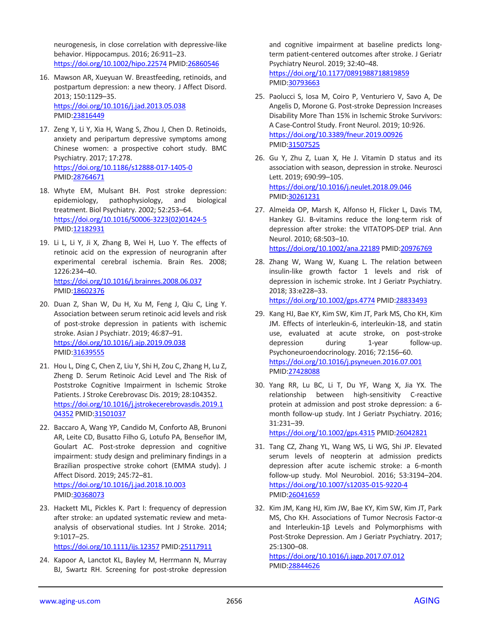neurogenesis, in close correlation with depressive-like behavior. Hippocampus. 2016; 26:911–23. <https://doi.org/10.1002/hipo.22574> PMI[D:26860546](https://www.ncbi.nlm.nih.gov/pubmed/26860546)

- 16. Mawson AR, Xueyuan W. Breastfeeding, retinoids, and postpartum depression: a new theory. J Affect Disord. 2013; 150:1129–35. <https://doi.org/10.1016/j.jad.2013.05.038> PMID[:23816449](https://www.ncbi.nlm.nih.gov/pubmed/23816449)
- 17. Zeng Y, Li Y, Xia H, Wang S, Zhou J, Chen D. Retinoids, anxiety and peripartum depressive symptoms among Chinese women: a prospective cohort study. BMC Psychiatry. 2017; 17:278. <https://doi.org/10.1186/s12888-017-1405-0> PMID[:28764671](https://www.ncbi.nlm.nih.gov/pubmed/28764671)
- 18. Whyte EM, Mulsant BH. Post stroke depression: epidemiology, pathophysiology, and biological treatment. Biol Psychiatry. 2002; 52:253–64. [https://doi.org/10.1016/S0006-3223\(02\)01424-5](https://doi.org/10.1016/S0006-3223%2802%2901424-5) PMID[:12182931](https://www.ncbi.nlm.nih.gov/pubmed/12182931)
- 19. Li L, Li Y, Ji X, Zhang B, Wei H, Luo Y. The effects of retinoic acid on the expression of neurogranin after experimental cerebral ischemia. Brain Res. 2008; 1226:234–40. <https://doi.org/10.1016/j.brainres.2008.06.037> PMID[:18602376](https://www.ncbi.nlm.nih.gov/pubmed/18602376)
- 20. Duan Z, Shan W, Du H, Xu M, Feng J, Qiu C, Ling Y. Association between serum retinoic acid levels and risk of post-stroke depression in patients with ischemic stroke. Asian J Psychiatr. 2019; 46:87–91. <https://doi.org/10.1016/j.ajp.2019.09.038> PMID[:31639555](https://www.ncbi.nlm.nih.gov/pubmed/31639555)
- 21. Hou L, Ding C, Chen Z, Liu Y, Shi H, Zou C, Zhang H, Lu Z, Zheng D. Serum Retinoic Acid Level and The Risk of Poststroke Cognitive Impairment in Ischemic Stroke Patients. J Stroke Cerebrovasc Dis. 2019; 28:104352. [https://doi.org/10.1016/j.jstrokecerebrovasdis.2019.1](https://doi.org/10.1016/j.jstrokecerebrovasdis.2019.104352) [04352](https://doi.org/10.1016/j.jstrokecerebrovasdis.2019.104352) PMID: 31501037
- 22. Baccaro A, Wang YP, Candido M, Conforto AB, Brunoni AR, Leite CD, Busatto Filho G, Lotufo PA, Benseñor IM, Goulart AC. Post-stroke depression and cognitive impairment: study design and preliminary findings in a Brazilian prospective stroke cohort (EMMA study). J Affect Disord. 2019; 245:72–81. <https://doi.org/10.1016/j.jad.2018.10.003> PMID[:30368073](https://www.ncbi.nlm.nih.gov/pubmed/30368073)
- 23. Hackett ML, Pickles K. Part I: frequency of depression after stroke: an updated systematic review and metaanalysis of observational studies. Int J Stroke. 2014; 9:1017–25.

<https://doi.org/10.1111/ijs.12357> PMID[:25117911](https://www.ncbi.nlm.nih.gov/pubmed/25117911)

24. Kapoor A, Lanctot KL, Bayley M, Herrmann N, Murray BJ, Swartz RH. Screening for post-stroke depression

and cognitive impairment at baseline predicts longterm patient-centered outcomes after stroke. J Geriatr Psychiatry Neurol. 2019; 32:40–48. <https://doi.org/10.1177/0891988718819859> PMI[D:30793663](https://www.ncbi.nlm.nih.gov/pubmed/30793663)

- 25. Paolucci S, Iosa M, Coiro P, Venturiero V, Savo A, De Angelis D, Morone G. Post-stroke Depression Increases Disability More Than 15% in Ischemic Stroke Survivors: A Case-Control Study. Front Neurol. 2019; 10:926. <https://doi.org/10.3389/fneur.2019.00926> PMI[D:31507525](https://www.ncbi.nlm.nih.gov/pubmed/31507525)
- 26. Gu Y, Zhu Z, Luan X, He J. Vitamin D status and its association with season, depression in stroke. Neurosci Lett. 2019; 690:99–105. <https://doi.org/10.1016/j.neulet.2018.09.046> PMI[D:30261231](https://www.ncbi.nlm.nih.gov/pubmed/30261231)
- 27. Almeida OP, Marsh K, Alfonso H, Flicker L, Davis TM, Hankey GJ. B-vitamins reduce the long-term risk of depression after stroke: the VITATOPS-DEP trial. Ann Neurol. 2010; 68:503–10. <https://doi.org/10.1002/ana.22189> PMID[:20976769](https://www.ncbi.nlm.nih.gov/pubmed/20976769)
- 28. Zhang W, Wang W, Kuang L. The relation between insulin-like growth factor 1 levels and risk of depression in ischemic stroke. Int J Geriatr Psychiatry. 2018; 33:e228–33.

<https://doi.org/10.1002/gps.4774> PMID[:28833493](https://www.ncbi.nlm.nih.gov/pubmed/28833493)

- 29. Kang HJ, Bae KY, Kim SW, Kim JT, Park MS, Cho KH, Kim JM. Effects of interleukin-6, interleukin-18, and statin use, evaluated at acute stroke, on post-stroke depression during 1-year follow-up. Psychoneuroendocrinology. 2016; 72:156–60. <https://doi.org/10.1016/j.psyneuen.2016.07.001> PMI[D:27428088](https://www.ncbi.nlm.nih.gov/pubmed/27428088)
- 30. Yang RR, Lu BC, Li T, Du YF, Wang X, Jia YX. The relationship between high-sensitivity C-reactive protein at admission and post stroke depression: a 6 month follow-up study. Int J Geriatr Psychiatry. 2016; 31:231–39.

<https://doi.org/10.1002/gps.4315> PMID[:26042821](https://www.ncbi.nlm.nih.gov/pubmed/26042821)

- 31. Tang CZ, Zhang YL, Wang WS, Li WG, Shi JP. Elevated serum levels of neopterin at admission predicts depression after acute ischemic stroke: a 6-month follow-up study. Mol Neurobiol. 2016; 53:3194–204. <https://doi.org/10.1007/s12035-015-9220-4> PMI[D:26041659](https://www.ncbi.nlm.nih.gov/pubmed/26041659)
- 32. Kim JM, Kang HJ, Kim JW, Bae KY, Kim SW, Kim JT, Park MS, Cho KH. Associations of Tumor Necrosis Factor-α and Interleukin-1β Levels and Polymorphisms with Post-Stroke Depression. Am J Geriatr Psychiatry. 2017; 25:1300–08.

<https://doi.org/10.1016/j.jagp.2017.07.012> PMI[D:28844626](https://www.ncbi.nlm.nih.gov/pubmed/28844626)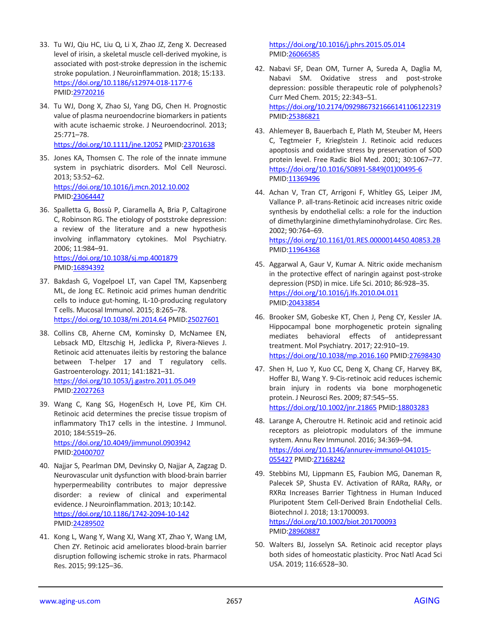- 33. Tu WJ, Qiu HC, Liu Q, Li X, Zhao JZ, Zeng X. Decreased level of irisin, a skeletal muscle cell-derived myokine, is associated with post-stroke depression in the ischemic stroke population. J Neuroinflammation. 2018; 15:133. <https://doi.org/10.1186/s12974-018-1177-6> PMID[:29720216](https://www.ncbi.nlm.nih.gov/pubmed/29720216)
- 34. Tu WJ, Dong X, Zhao SJ, Yang DG, Chen H. Prognostic value of plasma neuroendocrine biomarkers in patients with acute ischaemic stroke. J Neuroendocrinol. 2013; 25:771–78. <https://doi.org/10.1111/jne.12052> PMID[:23701638](https://www.ncbi.nlm.nih.gov/pubmed/23701638)
- 35. Jones KA, Thomsen C. The role of the innate immune system in psychiatric disorders. Mol Cell Neurosci. 2013; 53:52–62. <https://doi.org/10.1016/j.mcn.2012.10.002> PMID[:23064447](https://www.ncbi.nlm.nih.gov/pubmed/23064447)
- 36. Spalletta G, Bossù P, Ciaramella A, Bria P, Caltagirone C, Robinson RG. The etiology of poststroke depression: a review of the literature and a new hypothesis involving inflammatory cytokines. Mol Psychiatry. 2006; 11:984–91. <https://doi.org/10.1038/sj.mp.4001879>

PMID[:16894392](https://www.ncbi.nlm.nih.gov/pubmed/16894392)

- 37. Bakdash G, Vogelpoel LT, van Capel TM, Kapsenberg ML, de Jong EC. Retinoic acid primes human dendritic cells to induce gut-homing, IL-10-producing regulatory T cells. Mucosal Immunol. 2015; 8:265–78. <https://doi.org/10.1038/mi.2014.64> PMID[:25027601](https://www.ncbi.nlm.nih.gov/pubmed/25027601)
- 38. Collins CB, Aherne CM, Kominsky D, McNamee EN, Lebsack MD, Eltzschig H, Jedlicka P, Rivera-Nieves J. Retinoic acid attenuates ileitis by restoring the balance between T-helper 17 and T regulatory cells. Gastroenterology. 2011; 141:1821–31. <https://doi.org/10.1053/j.gastro.2011.05.049> PMID[:22027263](https://www.ncbi.nlm.nih.gov/pubmed/22027263)
- 39. Wang C, Kang SG, HogenEsch H, Love PE, Kim CH. Retinoic acid determines the precise tissue tropism of inflammatory Th17 cells in the intestine. J Immunol. 2010; 184:5519–26. <https://doi.org/10.4049/jimmunol.0903942> PMID[:20400707](https://www.ncbi.nlm.nih.gov/pubmed/20400707)
- 40. Najjar S, Pearlman DM, Devinsky O, Najjar A, Zagzag D. Neurovascular unit dysfunction with blood-brain barrier hyperpermeability contributes to major depressive disorder: a review of clinical and experimental evidence. J Neuroinflammation. 2013; 10:142. <https://doi.org/10.1186/1742-2094-10-142> PMID[:24289502](https://www.ncbi.nlm.nih.gov/pubmed/24289502)
- 41. Kong L, Wang Y, Wang XJ, Wang XT, Zhao Y, Wang LM, Chen ZY. Retinoic acid ameliorates blood-brain barrier disruption following ischemic stroke in rats. Pharmacol Res. 2015; 99:125–36.

<https://doi.org/10.1016/j.phrs.2015.05.014> PMI[D:26066585](https://www.ncbi.nlm.nih.gov/pubmed/26066585)

- 42. Nabavi SF, Dean OM, Turner A, Sureda A, Daglia M, Nabavi SM. Oxidative stress and post-stroke depression: possible therapeutic role of polyphenols? Curr Med Chem. 2015; 22:343–51. <https://doi.org/10.2174/0929867321666141106122319> PMI[D:25386821](https://www.ncbi.nlm.nih.gov/pubmed/25386821)
- 43. Ahlemeyer B, Bauerbach E, Plath M, Steuber M, Heers C, Tegtmeier F, Krieglstein J. Retinoic acid reduces apoptosis and oxidative stress by preservation of SOD protein level. Free Radic Biol Med. 2001; 30:1067–77. [https://doi.org/10.1016/S0891-5849\(01\)00495-6](https://doi.org/10.1016/S0891-5849%2801%2900495-6) PMI[D:11369496](https://www.ncbi.nlm.nih.gov/pubmed/11369496)
- 44. Achan V, Tran CT, Arrigoni F, Whitley GS, Leiper JM, Vallance P. all-trans-Retinoic acid increases nitric oxide synthesis by endothelial cells: a role for the induction of dimethylarginine dimethylaminohydrolase. Circ Res. 2002; 90:764–69.

<https://doi.org/10.1161/01.RES.0000014450.40853.2B> PMI[D:11964368](https://www.ncbi.nlm.nih.gov/pubmed/11964368)

- 45. Aggarwal A, Gaur V, Kumar A. Nitric oxide mechanism in the protective effect of naringin against post-stroke depression (PSD) in mice. Life Sci. 2010; 86:928–35. <https://doi.org/10.1016/j.lfs.2010.04.011> PMI[D:20433854](https://www.ncbi.nlm.nih.gov/pubmed/20433854)
- 46. Brooker SM, Gobeske KT, Chen J, Peng CY, Kessler JA. Hippocampal bone morphogenetic protein signaling mediates behavioral effects of antidepressant treatment. Mol Psychiatry. 2017; 22:910–19. <https://doi.org/10.1038/mp.2016.160> PMID[:27698430](https://www.ncbi.nlm.nih.gov/pubmed/27698430)
- 47. Shen H, Luo Y, Kuo CC, Deng X, Chang CF, Harvey BK, Hoffer BJ, Wang Y. 9-Cis-retinoic acid reduces ischemic brain injury in rodents via bone morphogenetic protein. J Neurosci Res. 2009; 87:545–55. <https://doi.org/10.1002/jnr.21865> PMID[:18803283](https://www.ncbi.nlm.nih.gov/pubmed/18803283)
- 48. Larange A, Cheroutre H. Retinoic acid and retinoic acid receptors as pleiotropic modulators of the immune system. Annu Rev Immunol. 2016; 34:369–94. [https://doi.org/10.1146/annurev-immunol-041015-](https://doi.org/10.1146/annurev-immunol-041015-055427) [055427](https://doi.org/10.1146/annurev-immunol-041015-055427) PMI[D:27168242](https://www.ncbi.nlm.nih.gov/pubmed/27168242)
- 49. Stebbins MJ, Lippmann ES, Faubion MG, Daneman R, Palecek SP, Shusta EV. Activation of RARα, RARγ, or RXRα Increases Barrier Tightness in Human Induced Pluripotent Stem Cell-Derived Brain Endothelial Cells. Biotechnol J. 2018; 13:1700093. <https://doi.org/10.1002/biot.201700093>

PMI[D:28960887](https://www.ncbi.nlm.nih.gov/pubmed/28960887)

50. Walters BJ, Josselyn SA. Retinoic acid receptor plays both sides of homeostatic plasticity. Proc Natl Acad Sci USA. 2019; 116:6528–30.